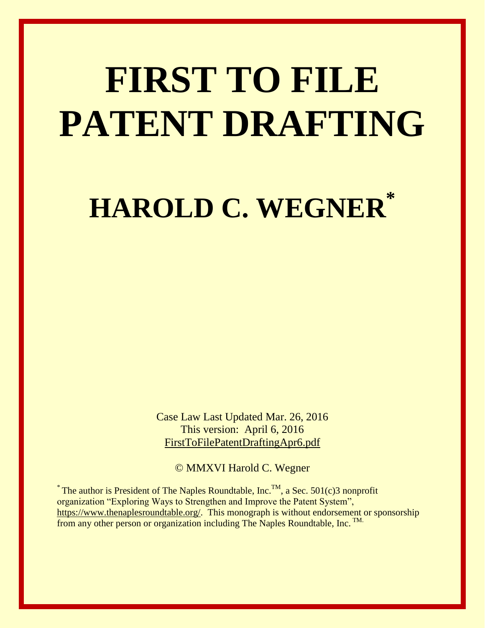# **FIRST TO FILE PATENT DRAFTING**

**HAROLD C. WEGNER\***

Case Law Last Updated Mar. 26, 2016 This version: April 6, 2016 FirstToFilePatentDraftingApr6.pdf

© MMXVI Harold C. Wegner

<sup>\*</sup> The author is President of The Naples Roundtable, Inc.<sup>TM</sup>, a Sec. 501(c)3 nonprofit organization "Exploring Ways to Strengthen and Improve the Patent System", [https://www.thenaplesroundtable.org/.](https://www.thenaplesroundtable.org/) This monograph is without endorsement or sponsorship from any other person or organization including The Naples Roundtable, Inc. TM.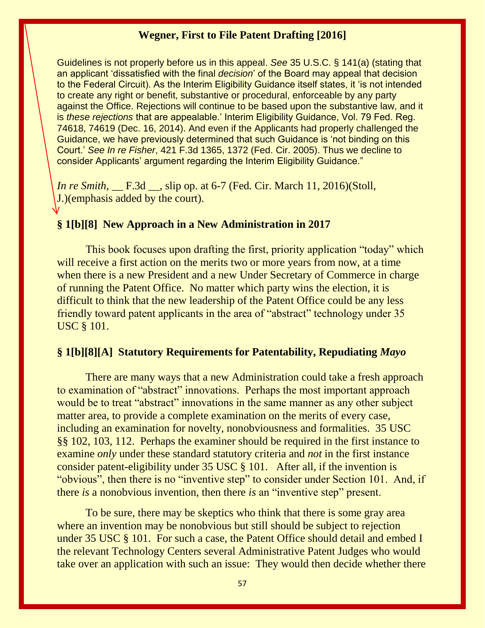Guidelines is not properly before us in this appeal. *See* 35 U.S.C. § 141(a) (stating that an applicant 'dissatisfied with the final *decision*' of the Board may appeal that decision to the Federal Circuit). As the Interim Eligibility Guidance itself states, it 'is not intended to create any right or benefit, substantive or procedural, enforceable by any party against the Office. Rejections will continue to be based upon the substantive law, and it is *these rejections* that are appealable.' Interim Eligibility Guidance, Vol. 79 Fed. Reg. 74618, 74619 (Dec. 16, 2014). And even if the Applicants had properly challenged the Guidance, we have previously determined that such Guidance is 'not binding on this Court.' *See In re Fisher*, 421 F.3d 1365, 1372 (Fed. Cir. 2005). Thus we decline to consider Applicants' argument regarding the Interim Eligibility Guidance."

*In re Smith*, F.3d , slip op. at 6-7 (Fed. Cir. March 11, 2016)(Stoll, J.)(emphasis added by the court).

# **§ 1[b][8] New Approach in a New Administration in 2017**

This book focuses upon drafting the first, priority application "today" which will receive a first action on the merits two or more years from now, at a time when there is a new President and a new Under Secretary of Commerce in charge of running the Patent Office. No matter which party wins the election, it is difficult to think that the new leadership of the Patent Office could be any less friendly toward patent applicants in the area of "abstract" technology under 35 USC § 101.

#### **§ 1[b][8][A] Statutory Requirements for Patentability, Repudiating** *Mayo*

There are many ways that a new Administration could take a fresh approach to examination of "abstract" innovations. Perhaps the most important approach would be to treat "abstract" innovations in the same manner as any other subject matter area, to provide a complete examination on the merits of every case, including an examination for novelty, nonobviousness and formalities. 35 USC §§ 102, 103, 112. Perhaps the examiner should be required in the first instance to examine *only* under these standard statutory criteria and *not* in the first instance consider patent-eligibility under 35 USC § 101. After all, if the invention is "obvious", then there is no "inventive step" to consider under Section 101. And, if there *is* a nonobvious invention, then there *is* an "inventive step" present.

To be sure, there may be skeptics who think that there is some gray area where an invention may be nonobvious but still should be subject to rejection under 35 USC § 101. For such a case, the Patent Office should detail and embed I the relevant Technology Centers several Administrative Patent Judges who would take over an application with such an issue: They would then decide whether there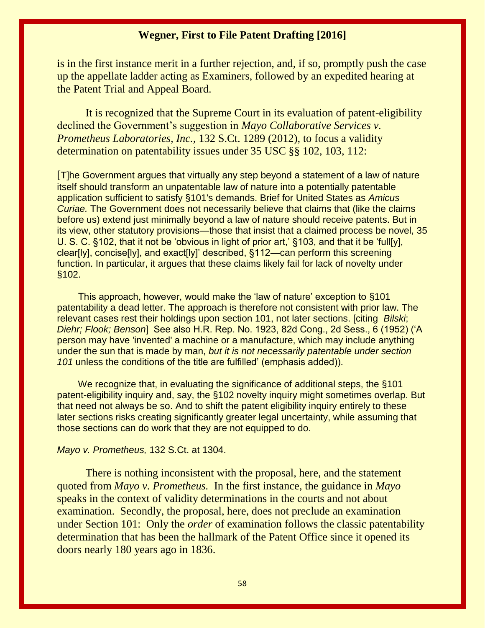is in the first instance merit in a further rejection, and, if so, promptly push the case up the appellate ladder acting as Examiners, followed by an expedited hearing at the Patent Trial and Appeal Board.

It is recognized that the Supreme Court in its evaluation of patent-eligibility declined the Government's suggestion in *Mayo Collaborative Services v. Prometheus Laboratories, Inc.,* 132 S.Ct. 1289 (2012), to focus a validity determination on patentability issues under 35 USC §§ 102, 103, 112:

[T]he Government argues that virtually any step beyond a statement of a law of nature itself should transform an unpatentable law of nature into a potentially patentable application sufficient to satisfy §101's demands. Brief for United States as *Amicus Curiae.* The Government does not necessarily believe that claims that (like the claims before us) extend just minimally beyond a law of nature should receive patents. But in its view, other statutory provisions—those that insist that a claimed process be novel, 35 U. S. C. §102, that it not be 'obvious in light of prior art,' §103, and that it be 'full[y], clear[ly], concise[ly], and exact[ly]' described, §112—can perform this screening function. In particular, it argues that these claims likely fail for lack of novelty under §102.

 This approach, however, would make the 'law of nature' exception to §101 patentability a dead letter. The approach is therefore not consistent with prior law. The relevant cases rest their holdings upon section 101, not later sections. [citing *Bilski*; *Diehr; Flook; Benson*] See also H.R. Rep. No. 1923, 82d Cong., 2d Sess., 6 (1952) ('A person may have 'invented' a machine or a manufacture, which may include anything under the sun that is made by man, *but it is not necessarily patentable under section 101* unless the conditions of the title are fulfilled' (emphasis added)).

 We recognize that, in evaluating the significance of additional steps, the §101 patent-eligibility inquiry and, say, the §102 novelty inquiry might sometimes overlap. But that need not always be so. And to shift the patent eligibility inquiry entirely to these later sections risks creating significantly greater legal uncertainty, while assuming that those sections can do work that they are not equipped to do.

#### *Mayo v. Prometheus,* 132 S.Ct. at 1304.

There is nothing inconsistent with the proposal, here, and the statement quoted from *Mayo v. Prometheus.* In the first instance, the guidance in *Mayo*  speaks in the context of validity determinations in the courts and not about examination. Secondly, the proposal, here, does not preclude an examination under Section 101: Only the *order* of examination follows the classic patentability determination that has been the hallmark of the Patent Office since it opened its doors nearly 180 years ago in 1836.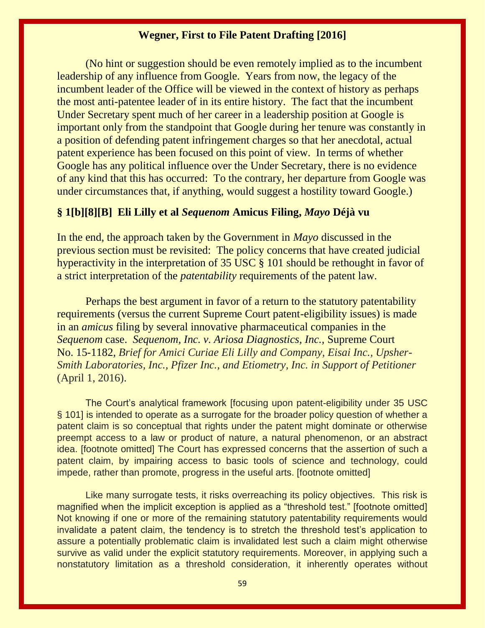(No hint or suggestion should be even remotely implied as to the incumbent leadership of any influence from Google. Years from now, the legacy of the incumbent leader of the Office will be viewed in the context of history as perhaps the most anti-patentee leader of in its entire history. The fact that the incumbent Under Secretary spent much of her career in a leadership position at Google is important only from the standpoint that Google during her tenure was constantly in a position of defending patent infringement charges so that her anecdotal, actual patent experience has been focused on this point of view. In terms of whether Google has any political influence over the Under Secretary, there is no evidence of any kind that this has occurred: To the contrary, her departure from Google was under circumstances that, if anything, would suggest a hostility toward Google.)

# **§ 1[b][8][B] Eli Lilly et al** *Sequenom* **Amicus Filing,** *Mayo* **Déjà vu**

In the end, the approach taken by the Government in *Mayo* discussed in the previous section must be revisited: The policy concerns that have created judicial hyperactivity in the interpretation of 35 USC § 101 should be rethought in favor of a strict interpretation of the *patentability* requirements of the patent law.

Perhaps the best argument in favor of a return to the statutory patentability requirements (versus the current Supreme Court patent-eligibility issues) is made in an *amicus* filing by several innovative pharmaceutical companies in the *Sequenom* case. *Sequenom, Inc. v. Ariosa Diagnostics, Inc.,* Supreme Court No. 15-1182, *Brief for Amici Curiae Eli Lilly and Company, Eisai Inc., Upsher-Smith Laboratories, Inc., Pfizer Inc., and Etiometry, Inc. in Support of Petitioner*  (April 1, 2016).

The Court's analytical framework [focusing upon patent-eligibility under 35 USC § 101] is intended to operate as a surrogate for the broader policy question of whether a patent claim is so conceptual that rights under the patent might dominate or otherwise preempt access to a law or product of nature, a natural phenomenon, or an abstract idea. [footnote omitted] The Court has expressed concerns that the assertion of such a patent claim, by impairing access to basic tools of science and technology, could impede, rather than promote, progress in the useful arts. [footnote omitted]

Like many surrogate tests, it risks overreaching its policy objectives. This risk is magnified when the implicit exception is applied as a "threshold test." [footnote omitted] Not knowing if one or more of the remaining statutory patentability requirements would invalidate a patent claim, the tendency is to stretch the threshold test's application to assure a potentially problematic claim is invalidated lest such a claim might otherwise survive as valid under the explicit statutory requirements. Moreover, in applying such a nonstatutory limitation as a threshold consideration, it inherently operates without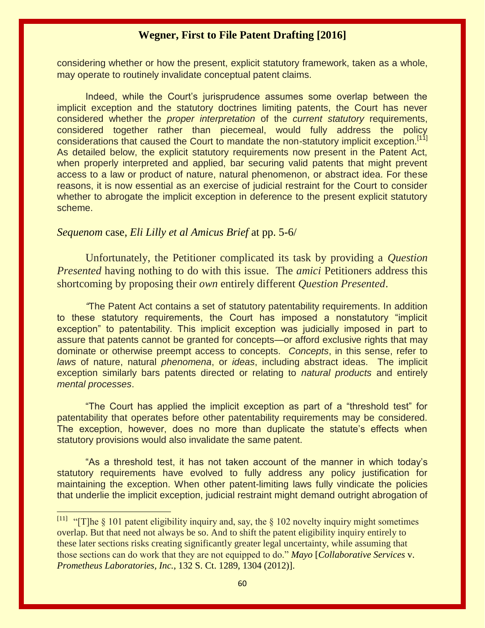considering whether or how the present, explicit statutory framework, taken as a whole, may operate to routinely invalidate conceptual patent claims.

Indeed, while the Court's jurisprudence assumes some overlap between the implicit exception and the statutory doctrines limiting patents, the Court has never considered whether the *proper interpretation* of the *current statutory* requirements, considered together rather than piecemeal, would fully address the policy considerations that caused the Court to mandate the non-statutory implicit exception.<sup>[11]</sup> As detailed below, the explicit statutory requirements now present in the Patent Act, when properly interpreted and applied, bar securing valid patents that might prevent access to a law or product of nature, natural phenomenon, or abstract idea. For these reasons, it is now essential as an exercise of judicial restraint for the Court to consider whether to abrogate the implicit exception in deference to the present explicit statutory scheme.

#### *Sequenom* case, *Eli Lilly et al Amicus Brief* at pp. 5-6/

Unfortunately, the Petitioner complicated its task by providing a *Question Presented* having nothing to do with this issue. The *amici* Petitioners address this shortcoming by proposing their *own* entirely different *Question Presented*.

*"*The Patent Act contains a set of statutory patentability requirements. In addition to these statutory requirements, the Court has imposed a nonstatutory "implicit exception" to patentability. This implicit exception was judicially imposed in part to assure that patents cannot be granted for concepts—or afford exclusive rights that may dominate or otherwise preempt access to concepts. *Concepts*, in this sense, refer to *laws* of nature, natural *phenomena*, or *ideas*, including abstract ideas. The implicit exception similarly bars patents directed or relating to *natural products* and entirely *mental processes*.

"The Court has applied the implicit exception as part of a "threshold test" for patentability that operates before other patentability requirements may be considered. The exception, however, does no more than duplicate the statute's effects when statutory provisions would also invalidate the same patent.

"As a threshold test, it has not taken account of the manner in which today's statutory requirements have evolved to fully address any policy justification for maintaining the exception. When other patent-limiting laws fully vindicate the policies that underlie the implicit exception, judicial restraint might demand outright abrogation of

 $[11]$ "[T]he  $\S$  101 patent eligibility inquiry and, say, the  $\S$  102 novelty inquiry might sometimes overlap. But that need not always be so. And to shift the patent eligibility inquiry entirely to these later sections risks creating significantly greater legal uncertainty, while assuming that those sections can do work that they are not equipped to do." *Mayo* [*Collaborative Services* v. *Prometheus Laboratories, Inc.*, 132 S. Ct. 1289, 1304 (2012)].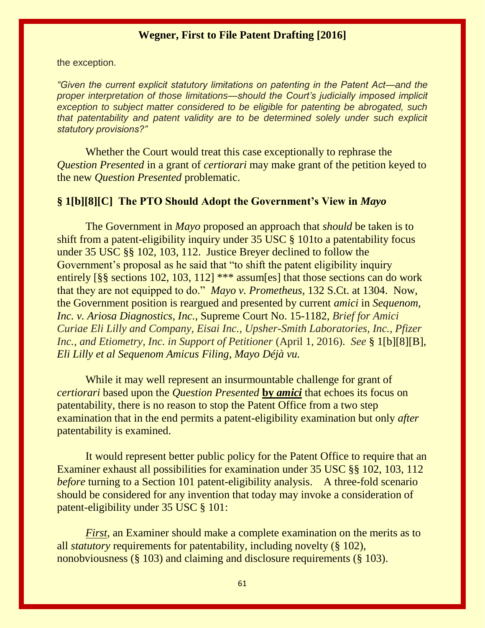the exception.

*"Given the current explicit statutory limitations on patenting in the Patent Act—and the proper interpretation of those limitations—should the Court's judicially imposed implicit exception to subject matter considered to be eligible for patenting be abrogated, such that patentability and patent validity are to be determined solely under such explicit statutory provisions?"* 

Whether the Court would treat this case exceptionally to rephrase the *Question Presented* in a grant of *certiorari* may make grant of the petition keyed to the new *Question Presented* problematic.

# **§ 1[b][8][C] The PTO Should Adopt the Government's View in** *Mayo*

The Government in *Mayo* proposed an approach that *should* be taken is to shift from a patent-eligibility inquiry under 35 USC § 101to a patentability focus under 35 USC §§ 102, 103, 112. Justice Breyer declined to follow the Government's proposal as he said that "to shift the patent eligibility inquiry entirely [§§ sections 102, 103, 112] \*\*\* assum[es] that those sections can do work that they are not equipped to do." *Mayo v. Prometheus,* 132 S.Ct. at 1304. Now, the Government position is reargued and presented by current *amici* in *Sequenom, Inc. v. Ariosa Diagnostics, Inc.,* Supreme Court No. 15-1182, *Brief for Amici Curiae Eli Lilly and Company, Eisai Inc., Upsher-Smith Laboratories, Inc., Pfizer Inc., and Etiometry, Inc. in Support of Petitioner (April 1, 2016). <i>See* § 1[b][8][B], *Eli Lilly et al Sequenom Amicus Filing, Mayo Déjà vu.* 

While it may well represent an insurmountable challenge for grant of *certiorari* based upon the *Question Presented* **by** *amici* that echoes its focus on patentability, there is no reason to stop the Patent Office from a two step examination that in the end permits a patent-eligibility examination but only *after*  patentability is examined.

It would represent better public policy for the Patent Office to require that an Examiner exhaust all possibilities for examination under 35 USC §§ 102, 103, 112 *before* turning to a Section 101 patent-eligibility analysis. A three-fold scenario should be considered for any invention that today may invoke a consideration of patent-eligibility under 35 USC § 101:

*First*, an Examiner should make a complete examination on the merits as to all *statutory* requirements for patentability, including novelty (§ 102), nonobviousness (§ 103) and claiming and disclosure requirements (§ 103).